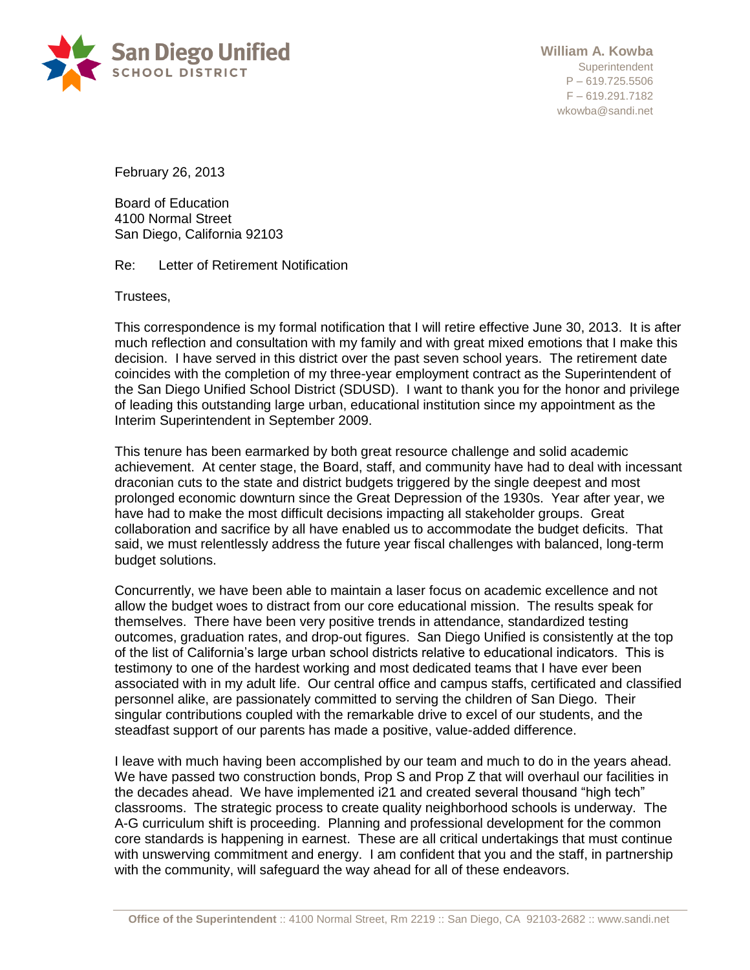

February 26, 2013

Board of Education 4100 Normal Street San Diego, California 92103

Re: Letter of Retirement Notification

Trustees,

This correspondence is my formal notification that I will retire effective June 30, 2013. It is after much reflection and consultation with my family and with great mixed emotions that I make this decision. I have served in this district over the past seven school years. The retirement date coincides with the completion of my three-year employment contract as the Superintendent of the San Diego Unified School District (SDUSD). I want to thank you for the honor and privilege of leading this outstanding large urban, educational institution since my appointment as the Interim Superintendent in September 2009.

This tenure has been earmarked by both great resource challenge and solid academic achievement. At center stage, the Board, staff, and community have had to deal with incessant draconian cuts to the state and district budgets triggered by the single deepest and most prolonged economic downturn since the Great Depression of the 1930s. Year after year, we have had to make the most difficult decisions impacting all stakeholder groups. Great collaboration and sacrifice by all have enabled us to accommodate the budget deficits. That said, we must relentlessly address the future year fiscal challenges with balanced, long-term budget solutions.

Concurrently, we have been able to maintain a laser focus on academic excellence and not allow the budget woes to distract from our core educational mission. The results speak for themselves. There have been very positive trends in attendance, standardized testing outcomes, graduation rates, and drop-out figures. San Diego Unified is consistently at the top of the list of California's large urban school districts relative to educational indicators. This is testimony to one of the hardest working and most dedicated teams that I have ever been associated with in my adult life. Our central office and campus staffs, certificated and classified personnel alike, are passionately committed to serving the children of San Diego. Their singular contributions coupled with the remarkable drive to excel of our students, and the steadfast support of our parents has made a positive, value-added difference.

I leave with much having been accomplished by our team and much to do in the years ahead. We have passed two construction bonds, Prop S and Prop Z that will overhaul our facilities in the decades ahead. We have implemented i21 and created several thousand "high tech" classrooms. The strategic process to create quality neighborhood schools is underway. The A-G curriculum shift is proceeding. Planning and professional development for the common core standards is happening in earnest. These are all critical undertakings that must continue with unswerving commitment and energy. I am confident that you and the staff, in partnership with the community, will safeguard the way ahead for all of these endeavors.